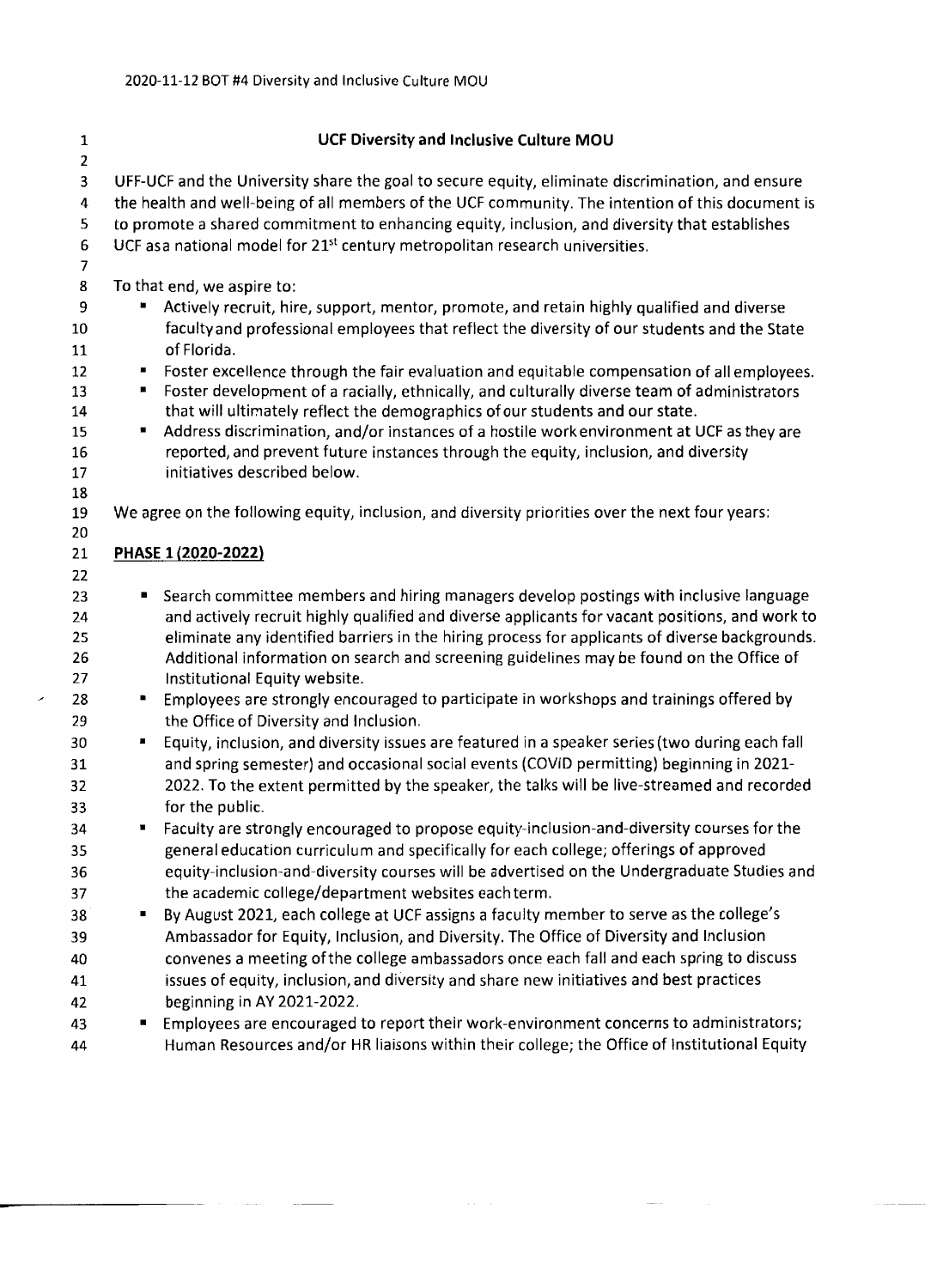| 1           | <b>UCF Diversity and Inclusive Culture MOU</b>                                                                   |
|-------------|------------------------------------------------------------------------------------------------------------------|
| $\mathbf 2$ |                                                                                                                  |
| 3           | UFF-UCF and the University share the goal to secure equity, eliminate discrimination, and ensure                 |
| 4           | the health and well-being of all members of the UCF community. The intention of this document is                 |
| 5           | to promote a shared commitment to enhancing equity, inclusion, and diversity that establishes                    |
| 6           | UCF as a national model for 21 <sup>st</sup> century metropolitan research universities.                         |
| 7           |                                                                                                                  |
| 8           | To that end, we aspire to:                                                                                       |
| 9           | Actively recruit, hire, support, mentor, promote, and retain highly qualified and diverse                        |
| 10          | faculty and professional employees that reflect the diversity of our students and the State                      |
| 11          | of Florida.                                                                                                      |
| 12          | Foster excellence through the fair evaluation and equitable compensation of all employees.<br>$\blacksquare$     |
| 13          | Foster development of a racially, ethnically, and culturally diverse team of administrators<br>п                 |
| 14          | that will ultimately reflect the demographics of our students and our state.                                     |
| 15          | Address discrimination, and/or instances of a hostile work environment at UCF as they are<br>п                   |
| 16          | reported, and prevent future instances through the equity, inclusion, and diversity                              |
| 17<br>18    | initiatives described below.                                                                                     |
| 19          | We agree on the following equity, inclusion, and diversity priorities over the next four years:                  |
| 20          |                                                                                                                  |
| 21          | PHASE 1 (2020-2022)                                                                                              |
| 22          |                                                                                                                  |
| 23          | Search committee members and hiring managers develop postings with inclusive language<br>٠                       |
| 24          | and actively recruit highly qualified and diverse applicants for vacant positions, and work to                   |
| 25          | eliminate any identified barriers in the hiring process for applicants of diverse backgrounds.                   |
| 26          | Additional information on search and screening guidelines may be found on the Office of                          |
| 27          | Institutional Equity website.                                                                                    |
| 28          | Employees are strongly encouraged to participate in workshops and trainings offered by<br>п                      |
| 29          | the Office of Diversity and Inclusion.                                                                           |
| 30          | Equity, inclusion, and diversity issues are featured in a speaker series (two during each fall<br>$\blacksquare$ |
| 31          | and spring semester) and occasional social events (COVID permitting) beginning in 2021-                          |
| 32          | 2022. To the extent permitted by the speaker, the talks will be live-streamed and recorded                       |
| 33          | for the public.                                                                                                  |
| 34          | Faculty are strongly encouraged to propose equity-inclusion-and-diversity courses for the                        |
| 35          | general education curriculum and specifically for each college; offerings of approved                            |
| 36          | equity-inclusion-and-diversity courses will be advertised on the Undergraduate Studies and                       |
| 37          | the academic college/department websites each term.                                                              |
| 38          | By August 2021, each college at UCF assigns a faculty member to serve as the college's<br>٠                      |
| 39          | Ambassador for Equity, Inclusion, and Diversity. The Office of Diversity and Inclusion                           |
| 40          | convenes a meeting of the college ambassadors once each fall and each spring to discuss                          |
| 41          | issues of equity, inclusion, and diversity and share new initiatives and best practices                          |
| 42          | beginning in AY 2021-2022.                                                                                       |
| 43          | Employees are encouraged to report their work-environment concerns to administrators;<br>п                       |
| 44          | Human Resources and/or HR liaisons within their college; the Office of Institutional Equity                      |
|             |                                                                                                                  |

- 
-